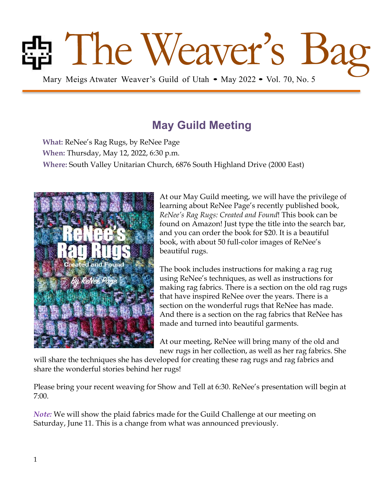# Bag Mary Meigs Atwater Weaver's Guild of Utah • May 2022 • Vol. 70, No. 5

# **May Guild Meeting**

**What:** ReNee's Rag Rugs, by ReNee Page **When:** Thursday, May 12, 2022, 6:30 p.m. **Where:** South Valley Unitarian Church, 6876 South Highland Drive (2000 East)



At our May Guild meeting, we will have the privilege of learning about ReNee Page's recently published book, *ReNee's Rag Rugs: Created and Found*! This book can be found on Amazon! Just type the title into the search bar, and you can order the book for \$20. It is a beautiful book, with about 50 full-color images of ReNee's beautiful rugs.

The book includes instructions for making a rag rug using ReNee's techniques, as well as instructions for making rag fabrics. There is a section on the old rag rugs that have inspired ReNee over the years. There is a section on the wonderful rugs that ReNee has made. And there is a section on the rag fabrics that ReNee has made and turned into beautiful garments.

At our meeting, ReNee will bring many of the old and new rugs in her collection, as well as her rag fabrics. She

will share the techniques she has developed for creating these rag rugs and rag fabrics and share the wonderful stories behind her rugs!

Please bring your recent weaving for Show and Tell at 6:30. ReNee's presentation will begin at 7:00.

*Note:* We will show the plaid fabrics made for the Guild Challenge at our meeting on Saturday, June 11. This is a change from what was announced previously.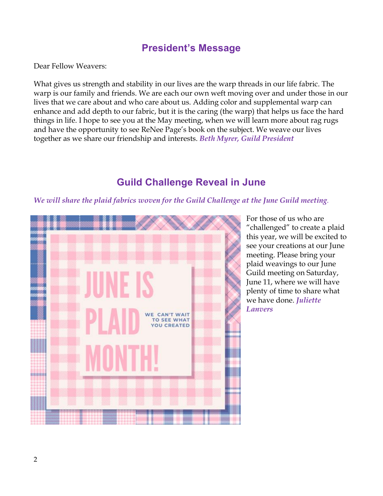#### **President's Message**

Dear Fellow Weavers:

What gives us strength and stability in our lives are the warp threads in our life fabric. The warp is our family and friends. We are each our own weft moving over and under those in our lives that we care about and who care about us. Adding color and supplemental warp can enhance and add depth to our fabric, but it is the caring (the warp) that helps us face the hard things in life. I hope to see you at the May meeting, when we will learn more about rag rugs and have the opportunity to see ReNee Page's book on the subject. We weave our lives together as we share our friendship and interests. *Beth Myrer, Guild President* 

## **Guild Challenge Reveal in June**

*We will share the plaid fabrics woven for the Guild Challenge at the June Guild meeting.*



For those of us who are "challenged" to create a plaid this year, we will be excited to see your creations at our June meeting. Please bring your plaid weavings to our June Guild meeting on Saturday, June 11, where we will have plenty of time to share what we have done. *Juliette Lanvers*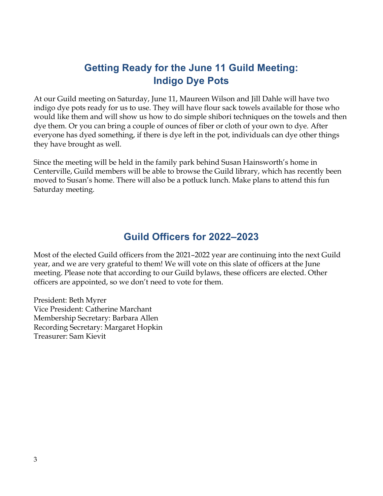## **Getting Ready for the June 11 Guild Meeting: Indigo Dye Pots**

At our Guild meeting on Saturday, June 11, Maureen Wilson and Jill Dahle will have two indigo dye pots ready for us to use. They will have flour sack towels available for those who would like them and will show us how to do simple shibori techniques on the towels and then dye them. Or you can bring a couple of ounces of fiber or cloth of your own to dye. After everyone has dyed something, if there is dye left in the pot, individuals can dye other things they have brought as well.

Since the meeting will be held in the family park behind Susan Hainsworth's home in Centerville, Guild members will be able to browse the Guild library, which has recently been moved to Susan's home. There will also be a potluck lunch. Make plans to attend this fun Saturday meeting.

#### **Guild Officers for 2022–2023**

Most of the elected Guild officers from the 2021–2022 year are continuing into the next Guild year, and we are very grateful to them! We will vote on this slate of officers at the June meeting. Please note that according to our Guild bylaws, these officers are elected. Other officers are appointed, so we don't need to vote for them.

President: Beth Myrer Vice President: Catherine Marchant Membership Secretary: Barbara Allen Recording Secretary: Margaret Hopkin Treasurer: Sam Kievit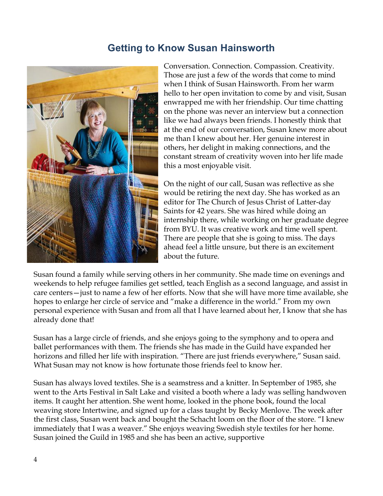### **Getting to Know Susan Hainsworth**



Conversation. Connection. Compassion. Creativity. Those are just a few of the words that come to mind when I think of Susan Hainsworth. From her warm hello to her open invitation to come by and visit, Susan enwrapped me with her friendship. Our time chatting on the phone was never an interview but a connection like we had always been friends. I honestly think that at the end of our conversation, Susan knew more about me than I knew about her. Her genuine interest in others, her delight in making connections, and the constant stream of creativity woven into her life made this a most enjoyable visit.

On the night of our call, Susan was reflective as she would be retiring the next day. She has worked as an editor for The Church of Jesus Christ of Latter-day Saints for 42 years. She was hired while doing an internship there, while working on her graduate degree from BYU. It was creative work and time well spent. There are people that she is going to miss. The days ahead feel a little unsure, but there is an excitement about the future.

Susan found a family while serving others in her community. She made time on evenings and weekends to help refugee families get settled, teach English as a second language, and assist in care centers—just to name a few of her efforts. Now that she will have more time available, she hopes to enlarge her circle of service and "make a difference in the world." From my own personal experience with Susan and from all that I have learned about her, I know that she has already done that!

Susan has a large circle of friends, and she enjoys going to the symphony and to opera and ballet performances with them. The friends she has made in the Guild have expanded her horizons and filled her life with inspiration. "There are just friends everywhere," Susan said. What Susan may not know is how fortunate those friends feel to know her.

Susan has always loved textiles. She is a seamstress and a knitter. In September of 1985, she went to the Arts Festival in Salt Lake and visited a booth where a lady was selling handwoven items. It caught her attention. She went home, looked in the phone book, found the local weaving store Intertwine, and signed up for a class taught by Becky Menlove. The week after the first class, Susan went back and bought the Schacht loom on the floor of the store. "I knew immediately that I was a weaver." She enjoys weaving Swedish style textiles for her home. Susan joined the Guild in 1985 and she has been an active, supportive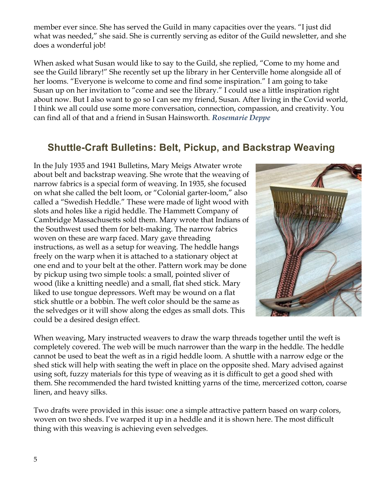member ever since. She has served the Guild in many capacities over the years. "I just did what was needed," she said. She is currently serving as editor of the Guild newsletter, and she does a wonderful job!

When asked what Susan would like to say to the Guild, she replied, "Come to my home and see the Guild library!" She recently set up the library in her Centerville home alongside all of her looms. "Everyone is welcome to come and find some inspiration." I am going to take Susan up on her invitation to "come and see the library." I could use a little inspiration right about now. But I also want to go so I can see my friend, Susan. After living in the Covid world, I think we all could use some more conversation, connection, compassion, and creativity. You can find all of that and a friend in Susan Hainsworth. *Rosemarie Deppe*

## **Shuttle-Craft Bulletins: Belt, Pickup, and Backstrap Weaving**

In the July 1935 and 1941 Bulletins, Mary Meigs Atwater wrote about belt and backstrap weaving. She wrote that the weaving of narrow fabrics is a special form of weaving. In 1935, she focused on what she called the belt loom, or "Colonial garter-loom," also called a "Swedish Heddle." These were made of light wood with slots and holes like a rigid heddle. The Hammett Company of Cambridge Massachusetts sold them. Mary wrote that Indians of the Southwest used them for belt-making. The narrow fabrics woven on these are warp faced. Mary gave threading instructions, as well as a setup for weaving. The heddle hangs freely on the warp when it is attached to a stationary object at one end and to your belt at the other. Pattern work may be done by pickup using two simple tools: a small, pointed sliver of wood (like a knitting needle) and a small, flat shed stick. Mary liked to use tongue depressors. Weft may be wound on a flat stick shuttle or a bobbin. The weft color should be the same as the selvedges or it will show along the edges as small dots. This could be a desired design effect.



When weaving, Mary instructed weavers to draw the warp threads together until the weft is completely covered. The web will be much narrower than the warp in the heddle. The heddle cannot be used to beat the weft as in a rigid heddle loom. A shuttle with a narrow edge or the shed stick will help with seating the weft in place on the opposite shed. Mary advised against using soft, fuzzy materials for this type of weaving as it is difficult to get a good shed with them. She recommended the hard twisted knitting yarns of the time, mercerized cotton, coarse linen, and heavy silks.

Two drafts were provided in this issue: one a simple attractive pattern based on warp colors, woven on two sheds. I've warped it up in a heddle and it is shown here. The most difficult thing with this weaving is achieving even selvedges.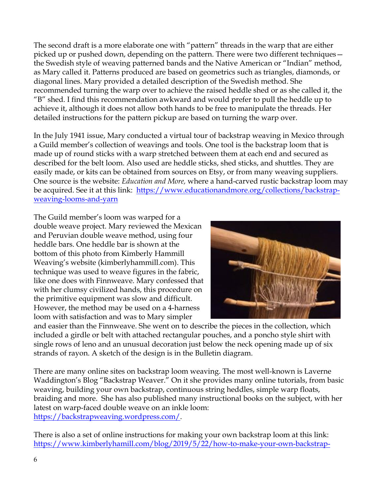The second draft is a more elaborate one with "pattern" threads in the warp that are either picked up or pushed down, depending on the pattern. There were two different techniques the Swedish style of weaving patterned bands and the Native American or "Indian" method, as Mary called it. Patterns produced are based on geometrics such as triangles, diamonds, or diagonal lines. Mary provided a detailed description of the Swedish method. She recommended turning the warp over to achieve the raised heddle shed or as she called it, the "B" shed. I find this recommendation awkward and would prefer to pull the heddle up to achieve it, although it does not allow both hands to be free to manipulate the threads. Her detailed instructions for the pattern pickup are based on turning the warp over.

In the July 1941 issue, Mary conducted a virtual tour of backstrap weaving in Mexico through a Guild member's collection of weavings and tools. One tool is the backstrap loom that is made up of round sticks with a warp stretched between them at each end and secured as described for the belt loom. Also used are heddle sticks, shed sticks, and shuttles. They are easily made, or kits can be obtained from sources on Etsy, or from many weaving suppliers. One source is the website: *Education and More,* where a hand-carved rustic backstrap loom may be acquired. See it at this link: https://www.educationandmore.org/collections/backstrapweaving-looms-and-yarn

The Guild member's loom was warped for a double weave project. Mary reviewed the Mexican and Peruvian double weave method, using four heddle bars. One heddle bar is shown at the bottom of this photo from Kimberly Hammill Weaving's website (kimberlyhammill.com). This technique was used to weave figures in the fabric, like one does with Finnweave. Mary confessed that with her clumsy civilized hands, this procedure on the primitive equipment was slow and difficult. However, the method may be used on a 4-harness loom with satisfaction and was to Mary simpler



and easier than the Finnweave. She went on to describe the pieces in the collection, which included a girdle or belt with attached rectangular pouches, and a poncho style shirt with single rows of leno and an unusual decoration just below the neck opening made up of six strands of rayon. A sketch of the design is in the Bulletin diagram.

There are many online sites on backstrap loom weaving. The most well-known is Laverne Waddington's Blog "Backstrap Weaver." On it she provides many online tutorials, from basic weaving, building your own backstrap, continuous string heddles, simple warp floats, braiding and more. She has also published many instructional books on the subject, with her latest on warp-faced double weave on an inkle loom: https://backstrapweaving.wordpress.com/.

There is also a set of online instructions for making your own backstrap loom at this link: https://www.kimberlyhamill.com/blog/2019/5/22/how-to-make-your-own-backstrap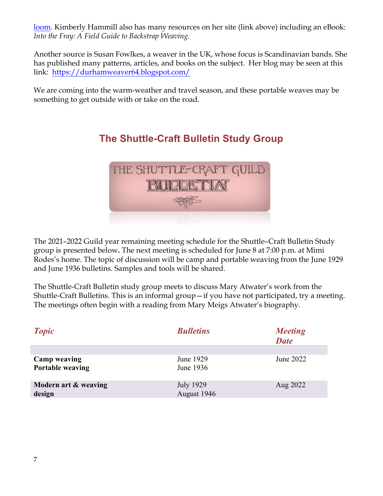loom. Kimberly Hammill also has many resources on her site (link above) including an eBook: *Into the Fray: A Field Guide to Backstrap Weaving*.

Another source is Susan Fowlkes, a weaver in the UK, whose focus is Scandinavian bands. She has published many patterns, articles, and books on the subject. Her blog may be seen at this link: https://durhamweaver64.blogspot.com/

We are coming into the warm-weather and travel season, and these portable weaves may be something to get outside with or take on the road.



**The Shuttle-Craft Bulletin Study Group**

The 2021–2022 Guild year remaining meeting schedule for the Shuttle–Craft Bulletin Study group is presented below**.** The next meeting is scheduled for June 8 at 7:00 p.m. at Mimi Rodes's home. The topic of discussion will be camp and portable weaving from the June 1929 and June 1936 bulletins. Samples and tools will be shared.

The Shuttle-Craft Bulletin study group meets to discuss Mary Atwater's work from the Shuttle-Craft Bulletins. This is an informal group—if you have not participated, try a meeting. The meetings often begin with a reading from Mary Meigs Atwater's biography.

| <b>Topic</b>                                   | <b>Bulletins</b>         | <b>Meeting</b><br><b>Date</b> |
|------------------------------------------------|--------------------------|-------------------------------|
| <b>Camp weaving</b><br><b>Portable weaving</b> | June 1929<br>June 1936   | June 2022                     |
| Modern art & weaving<br>design                 | July 1929<br>August 1946 | Aug 2022                      |